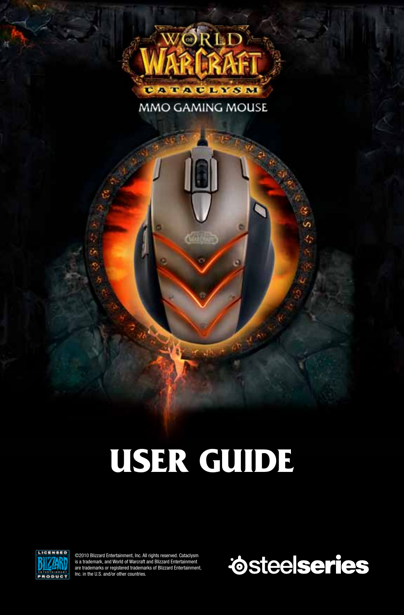

MMO GAMING MOUSE

# **USER GUIDE**



©2010 Blizzard Entertainment, Inc. All rights reserved. Cataclysm is a trademark, and World of Warcraft and Blizzard Entertainment are trademarks or registered trademarks of Blizzard Entertainment, Inc. in the U.S. and/or other countries.

*Osteelseries*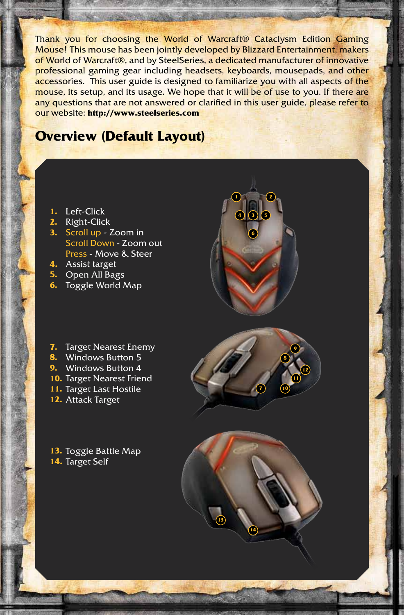Thank you for choosing the World of Warcraft® Cataclysm Edition Gaming Mouse! This mouse has been jointly developed by Blizzard Entertainment, makers of World of Warcraft®, and by SteelSeries, a dedicated manufacturer of innovative professional gaming gear including headsets, keyboards, mousepads, and other accessories. This user guide is designed to familiarize you with all aspects of the mouse, its setup, and its usage. We hope that it will be of use to you. If there are any questions that are not answered or clarified in this user guide, please refer to our website: **http://www.steelseries.com**

## **Overview (Default Layout)**

- **1.** Left-Click
- **2.** Right-Click
- **3.** Scroll up Zoom in Scroll Down - Zoom out Press - Move & Steer
- **4.** Assist target
- **5.** Open All Bags
- **6.** Toggle World Map
- **7.** Target Nearest Enemy
- **8.** Windows Button 5
- **9.** Windows Button 4
- **10.** Target Nearest Friend
- **11.** Target Last Hostile
- **12.** Attack Target

**13.** Toggle Battle Map **14.** Target Self





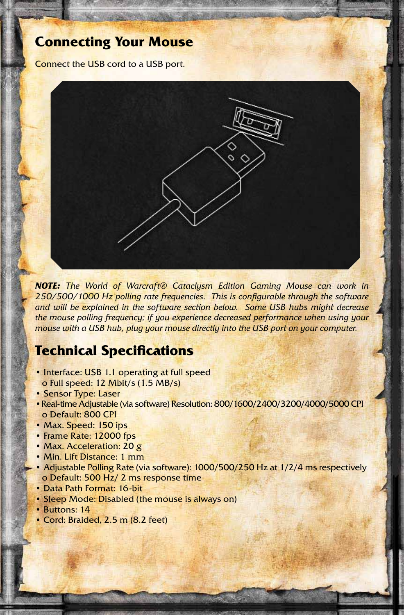## **Connecting Your Mouse**

Connect the USB cord to a USB port.



*NOTE: The World of Warcraft® Cataclysm Edition Gaming Mouse can work in 250/500/1000 Hz polling rate frequencies. This is configurable through the software and will be explained in the software section below. Some USB hubs might decrease the mouse polling frequency; if you experience decreased performance when using your mouse with a USB hub, plug your mouse directly into the USB port on your computer.*

# **Technical Specifications**

- Interface: USB 1.1 operating at full speed o Full speed: 12 Mbit/s (1.5 MB/s)
- Sensor Type: Laser
- •Real-time Adjustable (via software) Resolution: 800/1600/2400/3200/4000/5000 CPI o Default: 800 CPI
- Max. Speed: 150 ips
- Frame Rate: 12000 fps
- Max. Acceleration: 20 g
- Min. Lift Distance: 1 mm
- Adjustable Polling Rate (via software): 1000/500/250 Hz at 1/2/4 ms respectively o Default: 500 Hz/ 2 ms response time
- Data Path Format: 16-bit
- Sleep Mode: Disabled (the mouse is always on)
- Buttons: 14
- Cord: Braided, 2.5 m (8.2 feet)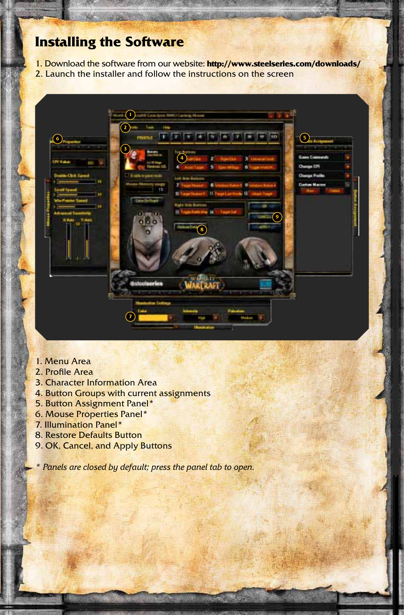# **Installing the Software**

- 1. Download the software from our website: **http://www.steelseries.com/downloads/**
- 2. Launch the installer and follow the instructions on the screen



- 1. Menu Area
- 2. Profile Area
- 3. Character Information Area
- 4. Button Groups with current assignments
- 5. Button Assignment Panel\*
- 6. Mouse Properties Panel\*
- 7. Illumination Panel\*
- 8. Restore Defaults Button
- 9. OK, Cancel, and Apply Buttons

*\* Panels are closed by default; press the panel tab to open.*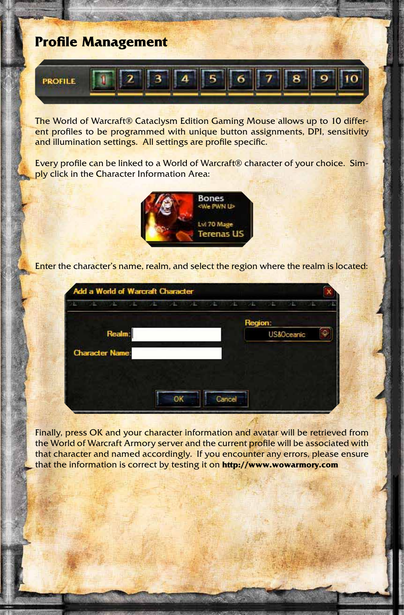# **Profile Management**



The World of Warcraft® Cataclysm Edition Gaming Mouse allows up to 10 different profiles to be programmed with unique button assignments, DPI, sensitivity and illumination settings. All settings are profile specific.

Every profile can be linked to a World of Warcraft® character of your choice. Simply click in the Character Information Area:



Enter the character's name, realm, and select the region where the realm is located:

| 98<br>a p              | <b>THE PART OF</b><br>Also and the state | - 12    | $-1$<br><b>TENDER</b> |
|------------------------|------------------------------------------|---------|-----------------------|
|                        |                                          | Region: |                       |
| Realm:                 |                                          |         | ω.<br>US&Oceanic      |
| <b>Character Name:</b> |                                          |         |                       |
|                        |                                          |         |                       |
|                        |                                          |         |                       |
|                        |                                          | Cancel  |                       |

Finally, press OK and your character information and avatar will be retrieved from the World of Warcraft Armory server and the current profile will be associated with that character and named accordingly. If you encounter any errors, please ensure that the information is correct by testing it on **http://www.wowarmory.com**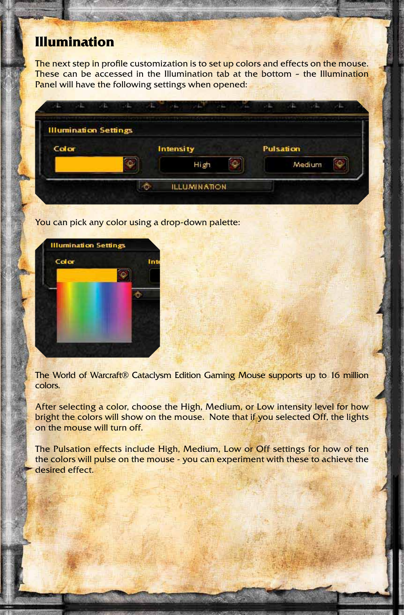# **Illumination**

The next step in profile customization is to set up colors and effects on the mouse. These can be accessed in the Illumination tab at the bottom - the Illumination Panel will have the following settings when opened:

| <b>Illumination Settings</b> |           |       |    |                  |  |
|------------------------------|-----------|-------|----|------------------|--|
| Color                        | Intensity |       |    | <b>Pulsation</b> |  |
|                              |           | High. | ГЮ | Medium           |  |

You can pick any color using a drop-down palette:



The World of Warcraft® Cataclysm Edition Gaming Mouse supports up to 16 million colors.

After selecting a color, choose the High, Medium, or Low intensity level for how bright the colors will show on the mouse. Note that if you selected Off, the lights on the mouse will turn off.

The Pulsation effects include High, Medium, Low or Off settings for how of ten the colors will pulse on the mouse - you can experiment with these to achieve the desired effect.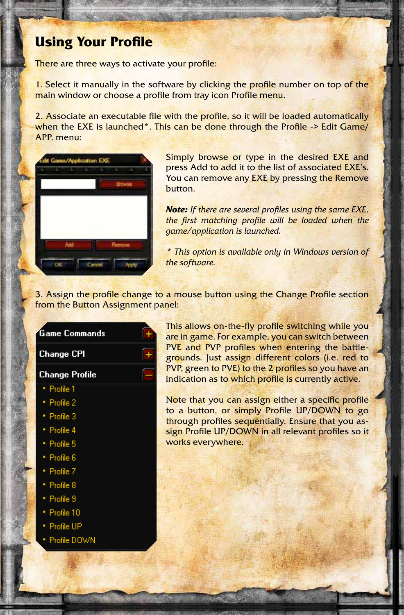# **Using Your Profile**

There are three ways to activate your profile:

1. Select it manually in the software by clicking the profile number on top of the main window or choose a profile from tray icon Profile menu.

2. Associate an executable file with the profile, so it will be loaded automatically when the EXE is launched<sup>\*</sup>. This can be done through the Profile -> Edit Game/ APP. menu:



**Game Commands** 

**Change CPI** 

**Change Profile** · Profile 1 Profile 2 · Profile 3 · Profile 4 · Profile 5 · Profile 6 · Profile 7 · Profile 8 · Profile 9 · Profile 10 · Profile UP Profile DOWN

Simply browse or type in the desired EXE and press Add to add it to the list of associated EXE's. You can remove any **EXE** by pressing the Remove button.

*Note: If there are several profiles using the same EXE, the first matching profile will be loaded when the game/application is launched.*

*\* This option is available only in Windows version of the software.*

3. Assign the profile change to a mouse button using the Change Profile section from the Button Assignment panel:

> This allows on-the-fly profile switching while you are in game. For example, you can switch between PVE and PVP profiles when entering the battlegrounds. Just assign different colors (i.e. red to PVP, green to PVE) to the 2 profiles so you have an indication as to which profile is currently active.

> Note that you can assign either a specific profile to a button, or simply Profile UP/DOWN to go through profiles sequentially. Ensure that you assign Profile UP/DOWN in all relevant profiles so it works everywhere.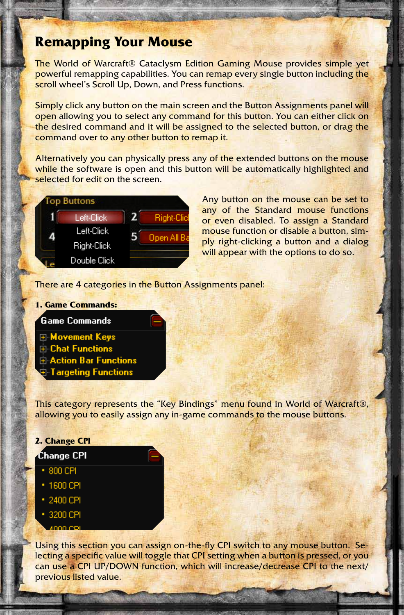## **Remapping Your Mouse**

The World of Warcraft® Cataclysm Edition Gaming Mouse provides simple yet powerful remapping capabilities. You can remap every single button including the scroll wheel's Scroll Up, Down, and Press functions.

Simply click any button on the main screen and the Button Assignments panel will open allowing you to select any command for this button. You can either click on the desired command and it will be assigned to the selected button, or drag the command over to any other button to remap it.

Alternatively you can physically press any of the extended buttons on the mouse while the software is open and this button will be automatically highlighted and selected for edit on the screen.



Any button on the mouse can be set to any of the Standard mouse functions or even disabled. To assign a Standard mouse function or disable a button, simply right-clicking a button and a dialog will appear with the options to do so.

There are 4 categories in the Button Assignments panel:

## **1. Game Commands:**

## **Game Commands**

- **E-Movement Keys**
- **E** Chat Functions
- **E** Action Bar Functions
- **Targeting Functions**

This category represents the "Key Bindings" menu found in World of Warcraft®, allowing you to easily assign any in-game commands to the mouse buttons.

## **2. Change CPI**

## Change CPI

- $-800$  CPI
- 1600 CPI
- · 2400 CPI
- 3200 CPI

Using this section you can assign on-the-fly CPI switch to any mouse button. Selecting a specific value will toggle that CPI setting when a button is pressed, or you can use a CPI UP/DOWN function, which will increase/decrease CPI to the next/ previous listed value.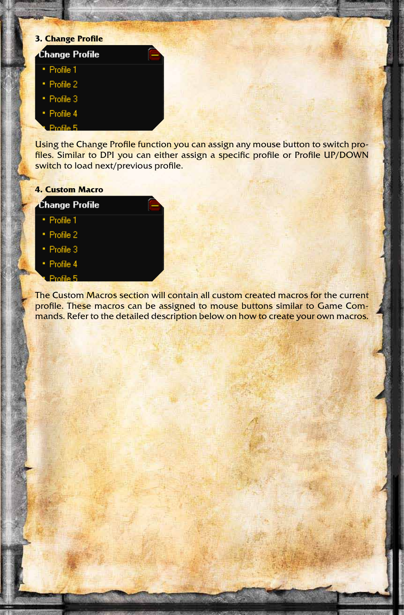# **3. Change Profile Change Profile** · Profile 1 · Profile 2 · Profile 3 · Profile 4 Profile 5

Using the Change Profile function you can assign any mouse button to switch profiles. Similar to DPI you can either assign a specific profile or Profile UP/DOWN switch to load next/previous profile.

## **4. Custom Macro**

## **Change Profile**

- · Profile 1
- · Profile 2
- · Profile 3
- · Profile 4
- Profile 5

The Custom Macros section will contain all custom created macros for the current profile. These macros can be assigned to mouse buttons similar to Game Commands. Refer to the detailed description below on how to create your own macros.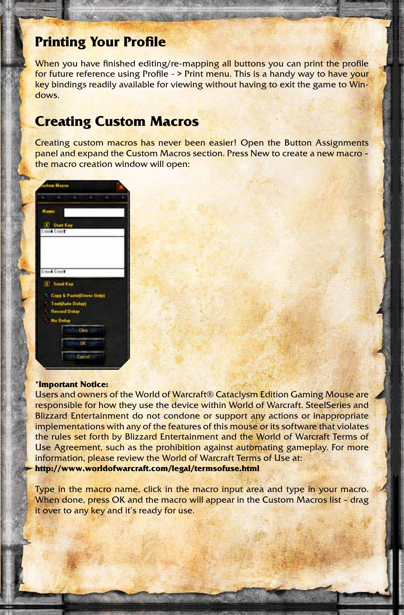## **Printing Your Profile**

When you have finished editing/re-mapping all buttons you can print the profile for future reference using Profile - > Print menu. This is a handy way to have your key bindings readily available for viewing without having to exit the game to Windows.

## **Creating Custom Macros**

Creating custom macros has never been easier! Open the Button Assignments panel and expand the Custom Macros section. Press New to create a new macro – the macro creation window will open:



### **\*Important Notice:**

Users and owners of the World of Warcraft® Cataclysm Edition Gaming Mouse are responsible for how they use the device within World of Warcraft. SteelSeries and Blizzard Entertainment do not condone or support any actions or inappropriate implementations with any of the features of this mouse or its software that violates the rules set forth by Blizzard Entertainment and the World of Warcraft Terms of Use Agreement, such as the prohibition against automating gameplay. For more information, please review the World of Warcraft Terms of Use at: **http://www.worldofwarcraft.com/legal/termsofuse.html**

Type in the macro name, click in the macro input area and type in your macro. When done, press OK and the macro will appear in the Custom Macros list - drag it over to any key and it's ready for use.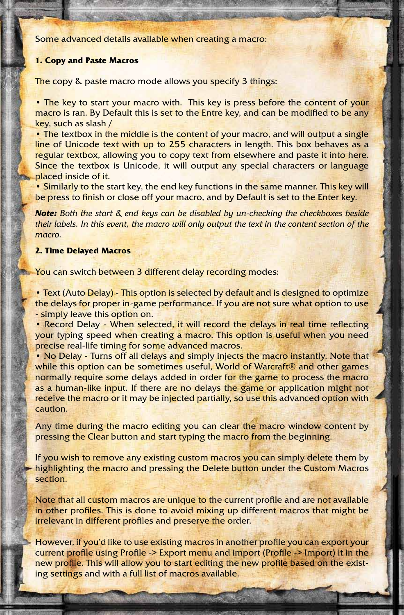Some advanced details available when creating a macro:

#### **1. Copy and Paste Macros**

The copy & paste macro mode allows you specify 3 things:

• The key to start your macro with. This key is press before the content of your macro is ran. By Default this is set to the Entre key, and can be modified to be any key, such as slash /

• The textbox in the middle is the content of your macro, and will output a single line of Unicode text with up to 255 characters in length. This box behaves as a regular textbox, allowing you to copy text from elsewhere and paste it into here. Since the textbox is Unicode, it will output any special characters or language placed inside of it.

• Similarly to the start key, the end key functions in the same manner. This key will be press to finish or close off your macro, and by Default is set to the Enter key.

*Note: Both the start & end keys can be disabled by un-checking the checkboxes beside their labels. In this event, the macro will only output the text in the content section of the macro.*

#### **2. Time Delayed Macros**

You can switch between 3 different delay recording modes:

• Text (Auto Delay) - This option is selected by default and is designed to optimize the delays for proper in-game performance. If you are not sure what option to use - simply leave this option on.

• Record Delay - When selected, it will record the delays in real time reflecting your typing speed when creating a macro. This option is useful when you need precise real-life timing for some advanced macros.

• No Delay - Turns off all delays and simply injects the macro instantly. Note that while this option can be sometimes useful, World of Warcraft® and other games normally require some delays added in order for the game to process the macro as a human-like input. If there are no delays the game or application might not receive the macro or it may be injected partially, so use this advanced option with caution.

Any time during the macro editing you can clear the macro window content by pressing the Clear button and start typing the macro from the beginning.

If you wish to remove any existing custom macros you can simply delete them by highlighting the macro and pressing the Delete button under the Custom Macros section.

Note that all custom macros are unique to the current profile and are not available in other profiles. This is done to avoid mixing up different macros that might be irrelevant in different profiles and preserve the order.

However, if you'd like to use existing macros in another profile you can export your current profile using Profile -> Export menu and import (Profile -> Import) it in the new profile. This will allow you to start editing the new profile based on the existing settings and with a full list of macros available.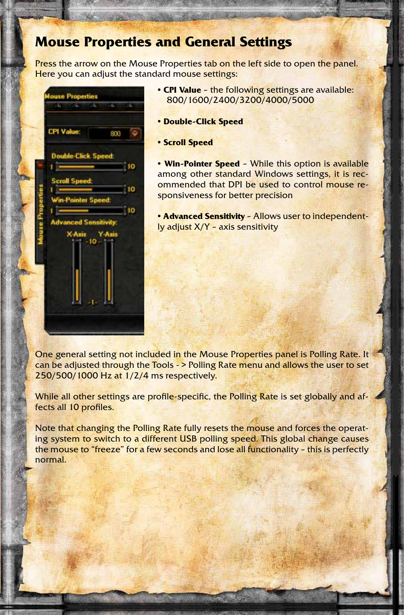# **Mouse Properties and General Settings**

Press the arrow on the Mouse Properties tab on the left side to open the panel. Here you can adjust the standard mouse settings:



- **CPI Value** the following settings are available: 800/1600/2400/3200/4000/5000
- **Double-Click Speed**
- **Scroll Speed**

**• Win-Pointer Speed** – While this option is available among other standard Windows settings, it is recommended that DPI be used to control mouse responsiveness for better precision

**• Advanced Sensitivity** – Allows user to independently adjust X/Y – axis sensitivity

One general setting not included in the Mouse Properties panel is Polling Rate. It can be adjusted through the Tools - > Polling Rate menu and allows the user to set 250/500/1000 Hz at 1/2/4 ms respectively.

While all other settings are profile-specific, the Polling Rate is set globally and affects all 10 profiles.

Note that changing the Polling Rate fully resets the mouse and forces the operating system to switch to a different USB polling speed. This global change causes the mouse to "freeze" for a few seconds and lose all functionality - this is perfectly normal.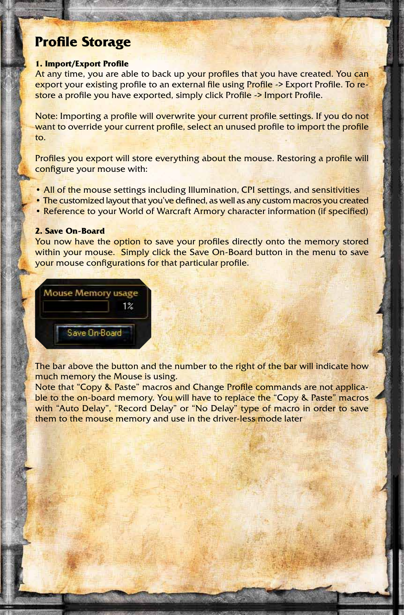## **Profile Storage**

#### **1. Import/Export Profile**

At any time, you are able to back up your profiles that you have created. You can export your existing profile to an external file using Profile -> Export Profile. To restore a profile you have exported, simply click Profile -> Import Profile.

Note: Importing a profile will overwrite your current profile settings. If you do not want to override your current profile, select an unused profile to import the profile to.

Profiles you export will store everything about the mouse. Restoring a profile will configure your mouse with:

- All of the mouse settings including Illumination, CPI settings, and sensitivities
- The customized layout that you've defined, as well as any custom macros you created
- Reference to your World of Warcraft Armory character information (if specified)

#### **2. Save On-Board**

You now have the option to save your profiles directly onto the memory stored within your mouse. Simply click the Save On-Board button in the menu to save your mouse configurations for that particular profile.



The bar above the button and the number to the right of the bar will indicate how much memory the Mouse is using.

Note that "Copy & Paste" macros and Change Profile commands are not applicable to the on-board memory. You will have to replace the "Copy & Paste" macros with "Auto Delay", "Record Delay" or "No Delay" type of macro in order to save them to the mouse memory and use in the driver-less mode later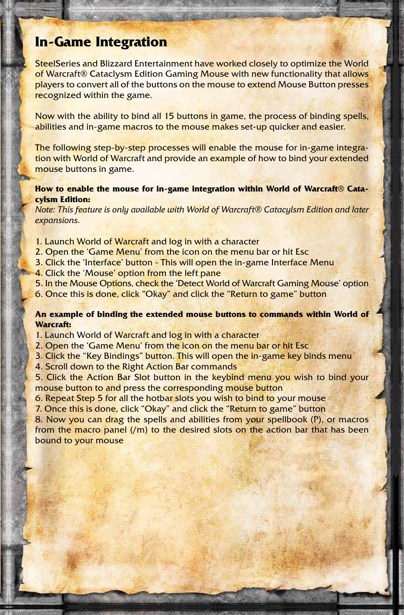# **In-Game Integration**

SteelSeries and Blizzard Entertainment have worked closely to optimize the World of Warcraft® Cataclysm Edition Gaming Mouse with new functionality that allows players to convert all of the buttons on the mouse to extend Mouse Button presses recognized within the game.

Now with the ability to bind all 15 buttons in game, the process of binding spells, abilities and in-game macros to the mouse makes set-up quicker and easier.

The following step-by-step processes will enable the mouse for in-game integration with World of Warcraft and provide an example of how to bind your extended mouse buttons in game.

## **How to enable the mouse for in-game integration within World of Warcraft® Catacylsm Edition:**

*Note: This feature is only available with World of Warcraft® Catacylsm Edition and later expansions.*

- 1. Launch World of Warcraft and log in with a character
- 2. Open the 'Game Menu' from the icon on the menu bar or hit Esc
- 3. Click the 'Interface' button This will open the in-game Interface Menu
- 4. Click the 'Mouse' option from the left pane
- 5. In the Mouse Options, check the 'Detect World of Warcraft Gaming Mouse' option
- 6. Once this is done, click "Okay" and click the "Return to game" button

### **An example of binding the extended mouse buttons to commands within World of Warcraft:**

- 1. Launch World of Warcraft and log in with a character
- 2. Open the 'Game Menu' from the icon on the menu bar or hit Esc
- 3. Click the "Key Bindings" button. This will open the in-game key binds menu
- 4. Scroll down to the Right Action Bar commands

5. Click the Action Bar Slot button in the keybind menu you wish to bind your mouse button to and press the corresponding mouse button

- 6. Repeat Step 5 for all the hotbar slots you wish to bind to your mouse
- 7. Once this is done, click "Okay" and click the "Return to game" button

8. Now you can drag the spells and abilities from your spellbook (P), or macros from the macro panel  $(m)$  to the desired slots on the action bar that has been bound to your mouse